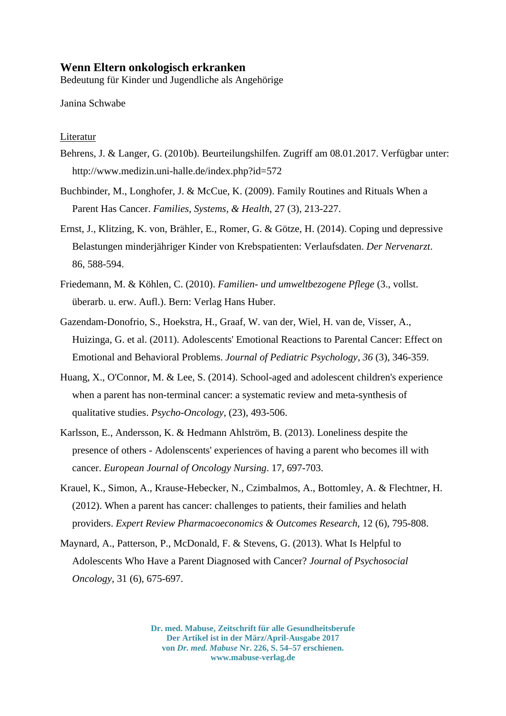## **Wenn Eltern onkologisch erkranken**

Bedeutung für Kinder und Jugendliche als Angehörige

Janina Schwabe

## Literatur

- Behrens, J. & Langer, G. (2010b). Beurteilungshilfen. Zugriff am 08.01.2017. Verfügbar unter: http://www.medizin.uni-halle.de/index.php?id=572
- Buchbinder, M., Longhofer, J. & McCue, K. (2009). Family Routines and Rituals When a Parent Has Cancer. *Families, Systems, & Health*, 27 (3), 213-227.
- Ernst, J., Klitzing, K. von, Brähler, E., Romer, G. & Götze, H. (2014). Coping und depressive Belastungen minderjähriger Kinder von Krebspatienten: Verlaufsdaten. *Der Nervenarzt*. 86, 588-594.
- Friedemann, M. & Köhlen, C. (2010). *Familien- und umweltbezogene Pflege* (3., vollst. überarb. u. erw. Aufl.). Bern: Verlag Hans Huber.
- Gazendam-Donofrio, S., Hoekstra, H., Graaf, W. van der, Wiel, H. van de, Visser, A., Huizinga, G. et al. (2011). Adolescents' Emotional Reactions to Parental Cancer: Effect on Emotional and Behavioral Problems. *Journal of Pediatric Psychology*, *36* (3), 346-359.
- Huang, X., O'Connor, M. & Lee, S. (2014). School-aged and adolescent children's experience when a parent has non-terminal cancer: a systematic review and meta-synthesis of qualitative studies. *Psycho-Oncology*, (23), 493-506.
- Karlsson, E., Andersson, K. & Hedmann Ahlström, B. (2013). Loneliness despite the presence of others - Adolenscents' experiences of having a parent who becomes ill with cancer. *European Journal of Oncology Nursing*. 17, 697-703.
- Krauel, K., Simon, A., Krause-Hebecker, N., Czimbalmos, A., Bottomley, A. & Flechtner, H. (2012). When a parent has cancer: challenges to patients, their families and helath providers. *Expert Review Pharmacoeconomics & Outcomes Research*, 12 (6), 795-808.
- Maynard, A., Patterson, P., McDonald, F. & Stevens, G. (2013). What Is Helpful to Adolescents Who Have a Parent Diagnosed with Cancer? *Journal of Psychosocial Oncology*, 31 (6), 675-697.

**Dr. med. Mabuse, Zeitschrift für alle Gesundheitsberufe Der Artikel ist in der März/April-Ausgabe 2017 von** *Dr. med. Mabuse* **Nr. 226, S. 54–57 erschienen. www.mabuse-verlag.de**